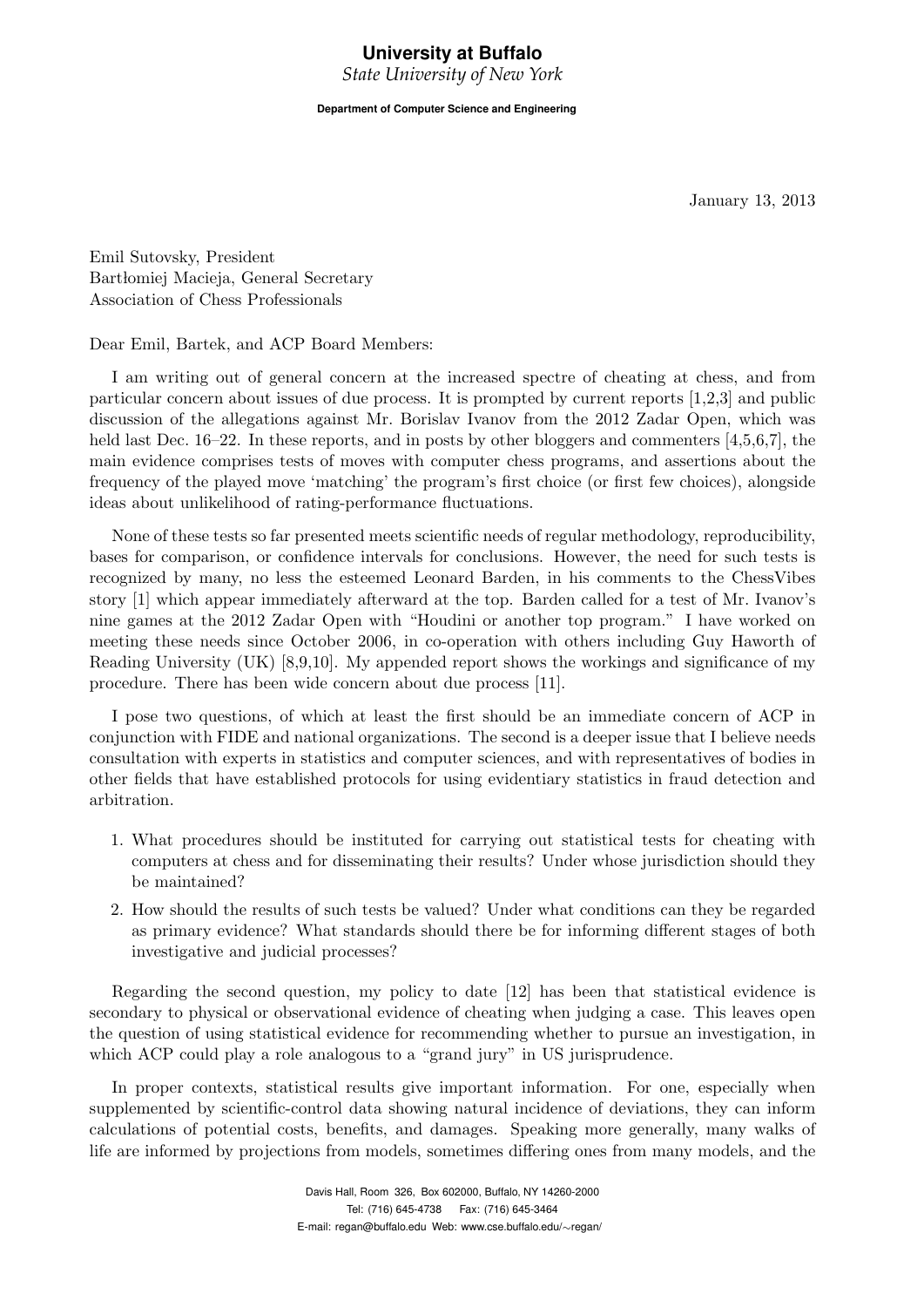# **University at Buffalo**

*State University of New York*

**Department of Computer Science and Engineering**

January 13, 2013

Emil Sutovsky, President Bartłomiej Macieja, General Secretary Association of Chess Professionals

Dear Emil, Bartek, and ACP Board Members:

I am writing out of general concern at the increased spectre of cheating at chess, and from particular concern about issues of due process. It is prompted by current reports [1,2,3] and public discussion of the allegations against Mr. Borislav Ivanov from the 2012 Zadar Open, which was held last Dec. 16–22. In these reports, and in posts by other bloggers and commenters [4,5,6,7], the main evidence comprises tests of moves with computer chess programs, and assertions about the frequency of the played move 'matching' the program's first choice (or first few choices), alongside ideas about unlikelihood of rating-performance fluctuations.

None of these tests so far presented meets scientific needs of regular methodology, reproducibility, bases for comparison, or confidence intervals for conclusions. However, the need for such tests is recognized by many, no less the esteemed Leonard Barden, in his comments to the ChessVibes story [1] which appear immediately afterward at the top. Barden called for a test of Mr. Ivanov's nine games at the 2012 Zadar Open with "Houdini or another top program." I have worked on meeting these needs since October 2006, in co-operation with others including Guy Haworth of Reading University (UK) [8,9,10]. My appended report shows the workings and significance of my procedure. There has been wide concern about due process [11].

I pose two questions, of which at least the first should be an immediate concern of ACP in conjunction with FIDE and national organizations. The second is a deeper issue that I believe needs consultation with experts in statistics and computer sciences, and with representatives of bodies in other fields that have established protocols for using evidentiary statistics in fraud detection and arbitration.

- 1. What procedures should be instituted for carrying out statistical tests for cheating with computers at chess and for disseminating their results? Under whose jurisdiction should they be maintained?
- 2. How should the results of such tests be valued? Under what conditions can they be regarded as primary evidence? What standards should there be for informing different stages of both investigative and judicial processes?

Regarding the second question, my policy to date [12] has been that statistical evidence is secondary to physical or observational evidence of cheating when judging a case. This leaves open the question of using statistical evidence for recommending whether to pursue an investigation, in which ACP could play a role analogous to a "grand jury" in US jurisprudence.

In proper contexts, statistical results give important information. For one, especially when supplemented by scientific-control data showing natural incidence of deviations, they can inform calculations of potential costs, benefits, and damages. Speaking more generally, many walks of life are informed by projections from models, sometimes differing ones from many models, and the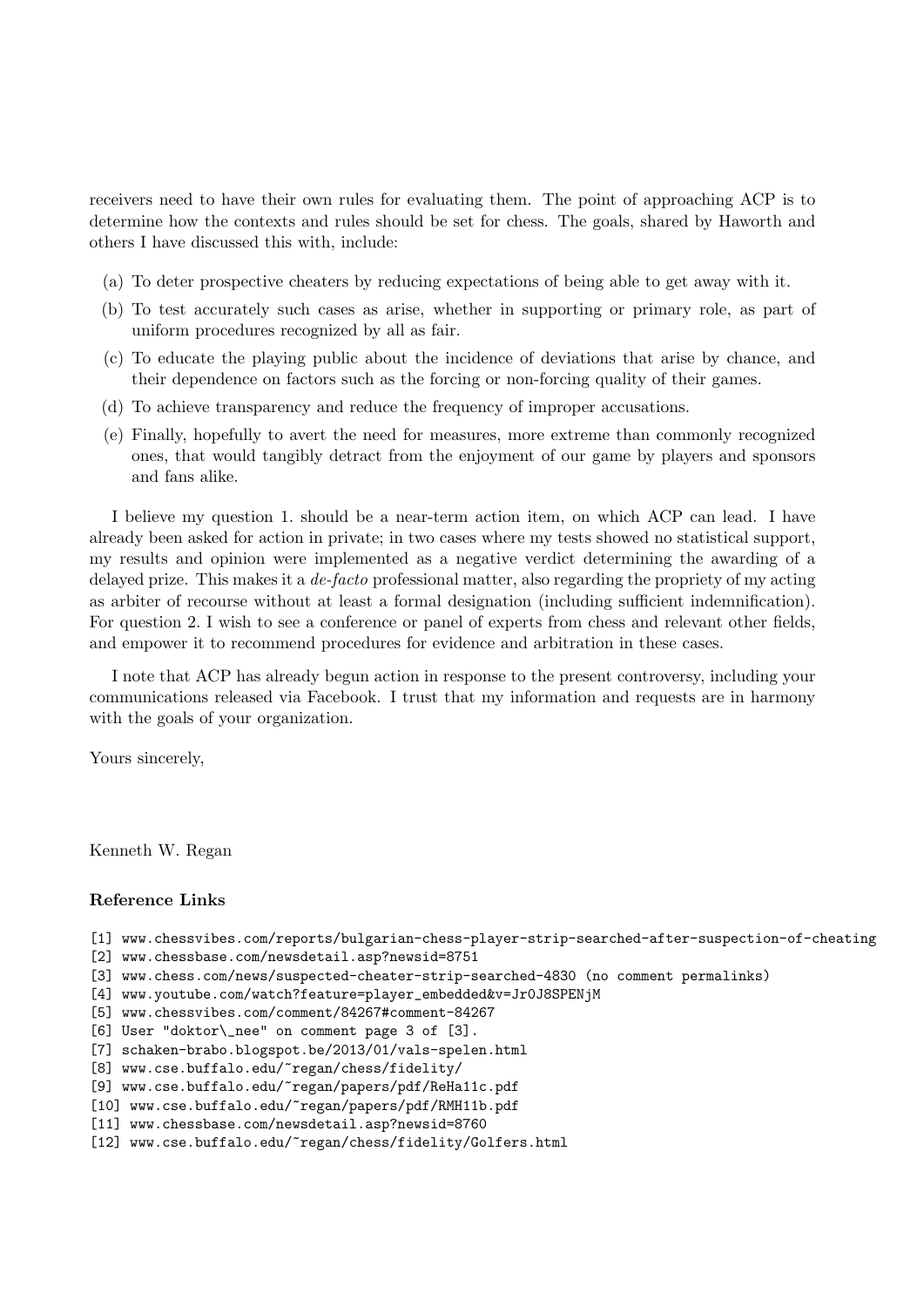receivers need to have their own rules for evaluating them. The point of approaching ACP is to determine how the contexts and rules should be set for chess. The goals, shared by Haworth and others I have discussed this with, include:

- (a) To deter prospective cheaters by reducing expectations of being able to get away with it.
- (b) To test accurately such cases as arise, whether in supporting or primary role, as part of uniform procedures recognized by all as fair.
- (c) To educate the playing public about the incidence of deviations that arise by chance, and their dependence on factors such as the forcing or non-forcing quality of their games.
- (d) To achieve transparency and reduce the frequency of improper accusations.
- (e) Finally, hopefully to avert the need for measures, more extreme than commonly recognized ones, that would tangibly detract from the enjoyment of our game by players and sponsors and fans alike.

I believe my question 1. should be a near-term action item, on which ACP can lead. I have already been asked for action in private; in two cases where my tests showed no statistical support, my results and opinion were implemented as a negative verdict determining the awarding of a delayed prize. This makes it a *de-facto* professional matter, also regarding the propriety of my acting as arbiter of recourse without at least a formal designation (including sufficient indemnification). For question 2. I wish to see a conference or panel of experts from chess and relevant other fields, and empower it to recommend procedures for evidence and arbitration in these cases.

I note that ACP has already begun action in response to the present controversy, including your communications released via Facebook. I trust that my information and requests are in harmony with the goals of your organization.

Yours sincerely,

Kenneth W. Regan

#### Reference Links

```
[1] www.chessvibes.com/reports/bulgarian-chess-player-strip-searched-after-suspection-of-cheating
```
[2] www.chessbase.com/newsdetail.asp?newsid=8751

- [3] www.chess.com/news/suspected-cheater-strip-searched-4830 (no comment permalinks)
- [4] www.youtube.com/watch?feature=player\_embedded&v=Jr0J8SPENjM
- [5] www.chessvibes.com/comment/84267#comment-84267

[6] User "doktor\\_nee" on comment page 3 of [3].

- [7] schaken-brabo.blogspot.be/2013/01/vals-spelen.html
- [8] www.cse.buffalo.edu/~regan/chess/fidelity/

[9] www.cse.buffalo.edu/~regan/papers/pdf/ReHa11c.pdf

[10] www.cse.buffalo.edu/~regan/papers/pdf/RMH11b.pdf

[11] www.chessbase.com/newsdetail.asp?newsid=8760

```
[12] www.cse.buffalo.edu/~regan/chess/fidelity/Golfers.html
```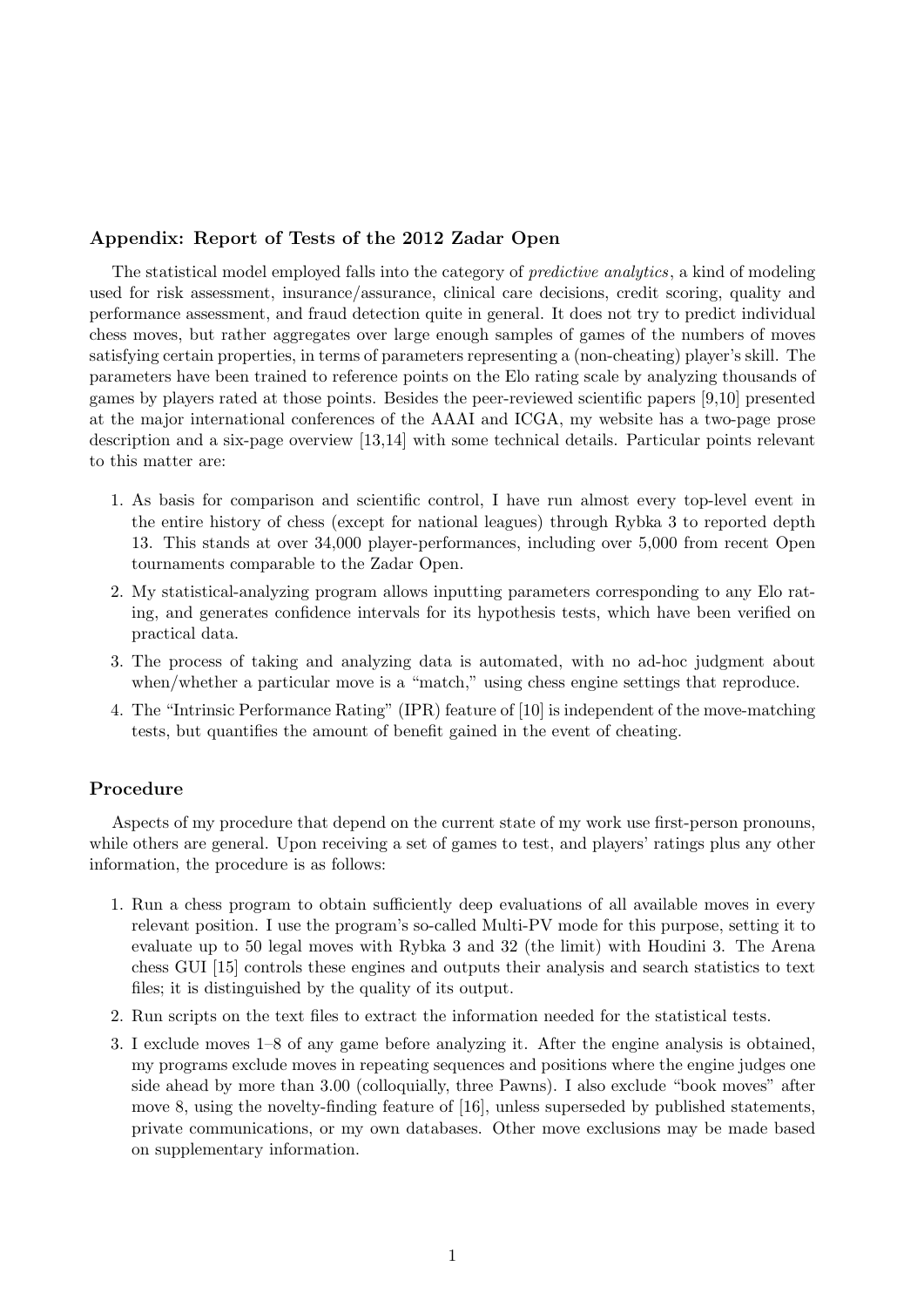## Appendix: Report of Tests of the 2012 Zadar Open

The statistical model employed falls into the category of predictive analytics, a kind of modeling used for risk assessment, insurance/assurance, clinical care decisions, credit scoring, quality and performance assessment, and fraud detection quite in general. It does not try to predict individual chess moves, but rather aggregates over large enough samples of games of the numbers of moves satisfying certain properties, in terms of parameters representing a (non-cheating) player's skill. The parameters have been trained to reference points on the Elo rating scale by analyzing thousands of games by players rated at those points. Besides the peer-reviewed scientific papers [9,10] presented at the major international conferences of the AAAI and ICGA, my website has a two-page prose description and a six-page overview [13,14] with some technical details. Particular points relevant to this matter are:

- 1. As basis for comparison and scientific control, I have run almost every top-level event in the entire history of chess (except for national leagues) through Rybka 3 to reported depth 13. This stands at over 34,000 player-performances, including over 5,000 from recent Open tournaments comparable to the Zadar Open.
- 2. My statistical-analyzing program allows inputting parameters corresponding to any Elo rating, and generates confidence intervals for its hypothesis tests, which have been verified on practical data.
- 3. The process of taking and analyzing data is automated, with no ad-hoc judgment about when/whether a particular move is a "match," using chess engine settings that reproduce.
- 4. The "Intrinsic Performance Rating" (IPR) feature of [10] is independent of the move-matching tests, but quantifies the amount of benefit gained in the event of cheating.

## Procedure

Aspects of my procedure that depend on the current state of my work use first-person pronouns, while others are general. Upon receiving a set of games to test, and players' ratings plus any other information, the procedure is as follows:

- 1. Run a chess program to obtain sufficiently deep evaluations of all available moves in every relevant position. I use the program's so-called Multi-PV mode for this purpose, setting it to evaluate up to 50 legal moves with Rybka 3 and 32 (the limit) with Houdini 3. The Arena chess GUI [15] controls these engines and outputs their analysis and search statistics to text files; it is distinguished by the quality of its output.
- 2. Run scripts on the text files to extract the information needed for the statistical tests.
- 3. I exclude moves 1–8 of any game before analyzing it. After the engine analysis is obtained, my programs exclude moves in repeating sequences and positions where the engine judges one side ahead by more than 3.00 (colloquially, three Pawns). I also exclude "book moves" after move 8, using the novelty-finding feature of [16], unless superseded by published statements, private communications, or my own databases. Other move exclusions may be made based on supplementary information.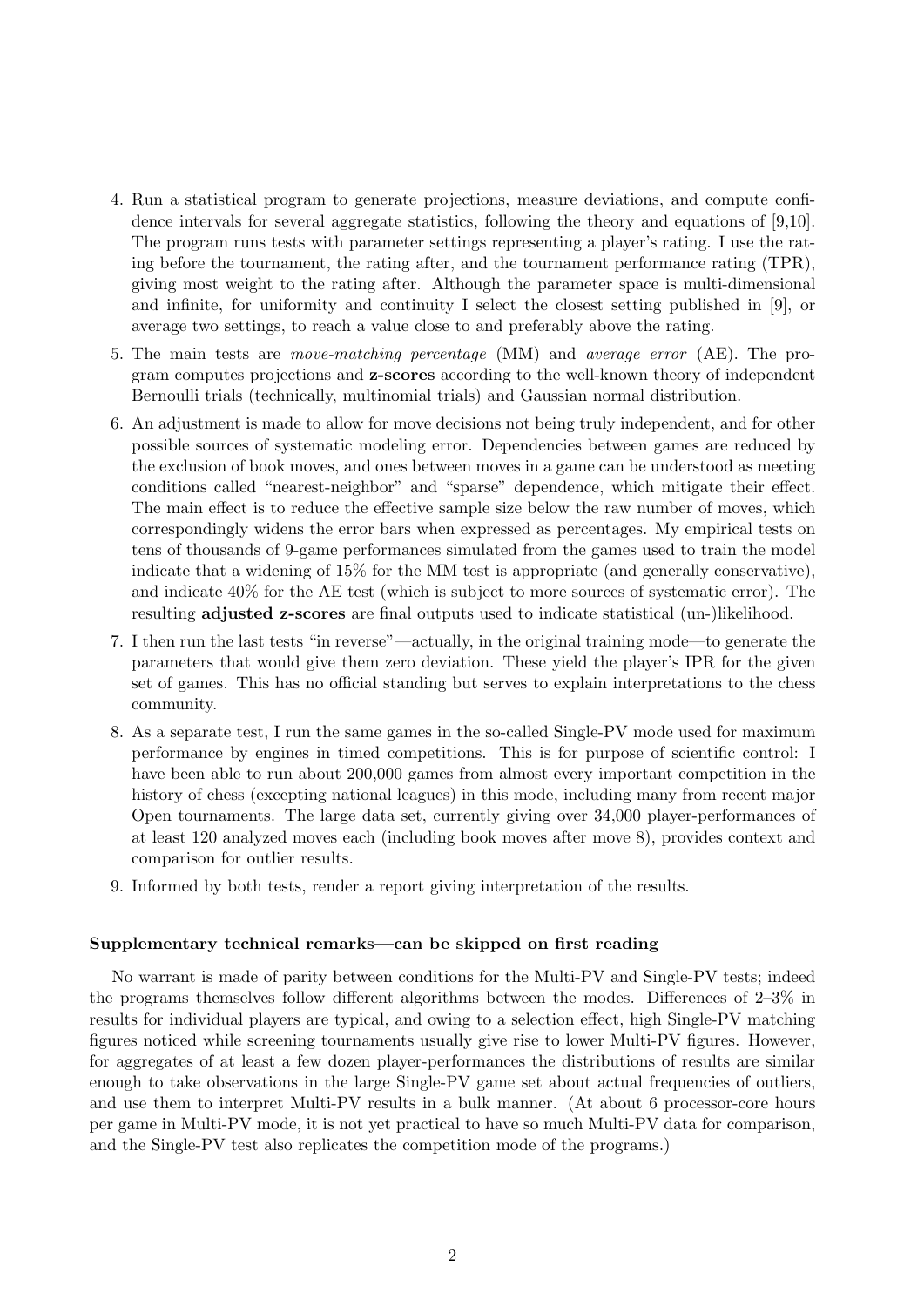- 4. Run a statistical program to generate projections, measure deviations, and compute confidence intervals for several aggregate statistics, following the theory and equations of [9,10]. The program runs tests with parameter settings representing a player's rating. I use the rating before the tournament, the rating after, and the tournament performance rating (TPR), giving most weight to the rating after. Although the parameter space is multi-dimensional and infinite, for uniformity and continuity I select the closest setting published in [9], or average two settings, to reach a value close to and preferably above the rating.
- 5. The main tests are move-matching percentage (MM) and average error (AE). The program computes projections and z-scores according to the well-known theory of independent Bernoulli trials (technically, multinomial trials) and Gaussian normal distribution.
- 6. An adjustment is made to allow for move decisions not being truly independent, and for other possible sources of systematic modeling error. Dependencies between games are reduced by the exclusion of book moves, and ones between moves in a game can be understood as meeting conditions called "nearest-neighbor" and "sparse" dependence, which mitigate their effect. The main effect is to reduce the effective sample size below the raw number of moves, which correspondingly widens the error bars when expressed as percentages. My empirical tests on tens of thousands of 9-game performances simulated from the games used to train the model indicate that a widening of 15% for the MM test is appropriate (and generally conservative), and indicate 40% for the AE test (which is subject to more sources of systematic error). The resulting adjusted z-scores are final outputs used to indicate statistical (un-)likelihood.
- 7. I then run the last tests "in reverse"—actually, in the original training mode—to generate the parameters that would give them zero deviation. These yield the player's IPR for the given set of games. This has no official standing but serves to explain interpretations to the chess community.
- 8. As a separate test, I run the same games in the so-called Single-PV mode used for maximum performance by engines in timed competitions. This is for purpose of scientific control: I have been able to run about 200,000 games from almost every important competition in the history of chess (excepting national leagues) in this mode, including many from recent major Open tournaments. The large data set, currently giving over 34,000 player-performances of at least 120 analyzed moves each (including book moves after move 8), provides context and comparison for outlier results.
- 9. Informed by both tests, render a report giving interpretation of the results.

#### Supplementary technical remarks—can be skipped on first reading

No warrant is made of parity between conditions for the Multi-PV and Single-PV tests; indeed the programs themselves follow different algorithms between the modes. Differences of 2–3% in results for individual players are typical, and owing to a selection effect, high Single-PV matching figures noticed while screening tournaments usually give rise to lower Multi-PV figures. However, for aggregates of at least a few dozen player-performances the distributions of results are similar enough to take observations in the large Single-PV game set about actual frequencies of outliers, and use them to interpret Multi-PV results in a bulk manner. (At about 6 processor-core hours per game in Multi-PV mode, it is not yet practical to have so much Multi-PV data for comparison, and the Single-PV test also replicates the competition mode of the programs.)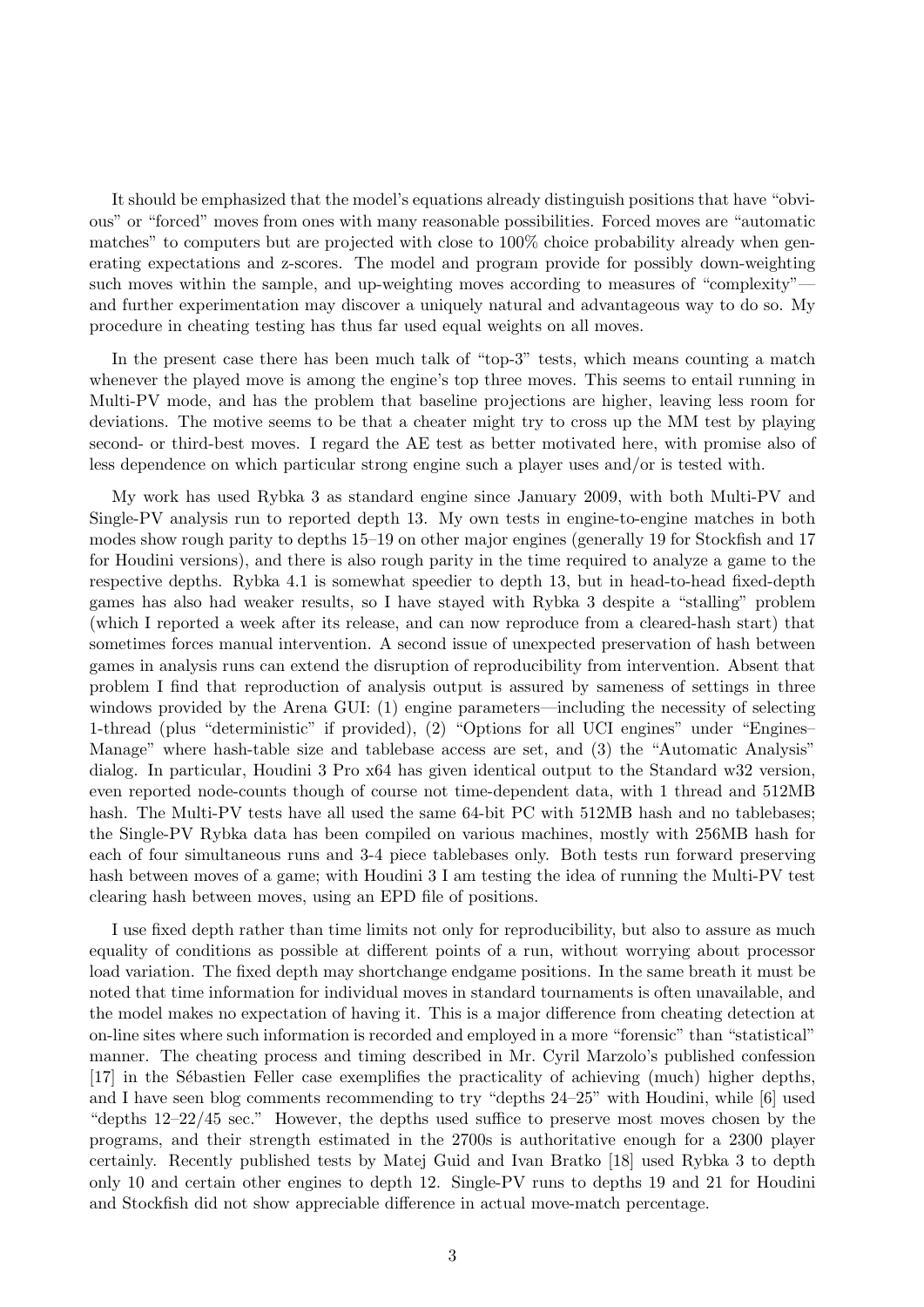It should be emphasized that the model's equations already distinguish positions that have "obvious" or "forced" moves from ones with many reasonable possibilities. Forced moves are "automatic matches" to computers but are projected with close to 100% choice probability already when generating expectations and z-scores. The model and program provide for possibly down-weighting such moves within the sample, and up-weighting moves according to measures of "complexity" and further experimentation may discover a uniquely natural and advantageous way to do so. My procedure in cheating testing has thus far used equal weights on all moves.

In the present case there has been much talk of "top-3" tests, which means counting a match whenever the played move is among the engine's top three moves. This seems to entail running in Multi-PV mode, and has the problem that baseline projections are higher, leaving less room for deviations. The motive seems to be that a cheater might try to cross up the MM test by playing second- or third-best moves. I regard the AE test as better motivated here, with promise also of less dependence on which particular strong engine such a player uses and/or is tested with.

My work has used Rybka 3 as standard engine since January 2009, with both Multi-PV and Single-PV analysis run to reported depth 13. My own tests in engine-to-engine matches in both modes show rough parity to depths 15–19 on other major engines (generally 19 for Stockfish and 17 for Houdini versions), and there is also rough parity in the time required to analyze a game to the respective depths. Rybka 4.1 is somewhat speedier to depth 13, but in head-to-head fixed-depth games has also had weaker results, so I have stayed with Rybka 3 despite a "stalling" problem (which I reported a week after its release, and can now reproduce from a cleared-hash start) that sometimes forces manual intervention. A second issue of unexpected preservation of hash between games in analysis runs can extend the disruption of reproducibility from intervention. Absent that problem I find that reproduction of analysis output is assured by sameness of settings in three windows provided by the Arena GUI: (1) engine parameters—including the necessity of selecting 1-thread (plus "deterministic" if provided), (2) "Options for all UCI engines" under "Engines– Manage" where hash-table size and tablebase access are set, and (3) the "Automatic Analysis" dialog. In particular, Houdini 3 Pro x64 has given identical output to the Standard w32 version, even reported node-counts though of course not time-dependent data, with 1 thread and 512MB hash. The Multi-PV tests have all used the same 64-bit PC with 512MB hash and no tablebases; the Single-PV Rybka data has been compiled on various machines, mostly with 256MB hash for each of four simultaneous runs and 3-4 piece tablebases only. Both tests run forward preserving hash between moves of a game; with Houdini 3 I am testing the idea of running the Multi-PV test clearing hash between moves, using an EPD file of positions.

I use fixed depth rather than time limits not only for reproducibility, but also to assure as much equality of conditions as possible at different points of a run, without worrying about processor load variation. The fixed depth may shortchange endgame positions. In the same breath it must be noted that time information for individual moves in standard tournaments is often unavailable, and the model makes no expectation of having it. This is a major difference from cheating detection at on-line sites where such information is recorded and employed in a more "forensic" than "statistical" manner. The cheating process and timing described in Mr. Cyril Marzolo's published confession [17] in the Sébastien Feller case exemplifies the practicality of achieving (much) higher depths, and I have seen blog comments recommending to try "depths 24–25" with Houdini, while [6] used "depths 12–22/45 sec." However, the depths used suffice to preserve most moves chosen by the programs, and their strength estimated in the 2700s is authoritative enough for a 2300 player certainly. Recently published tests by Matej Guid and Ivan Bratko [18] used Rybka 3 to depth only 10 and certain other engines to depth 12. Single-PV runs to depths 19 and 21 for Houdini and Stockfish did not show appreciable difference in actual move-match percentage.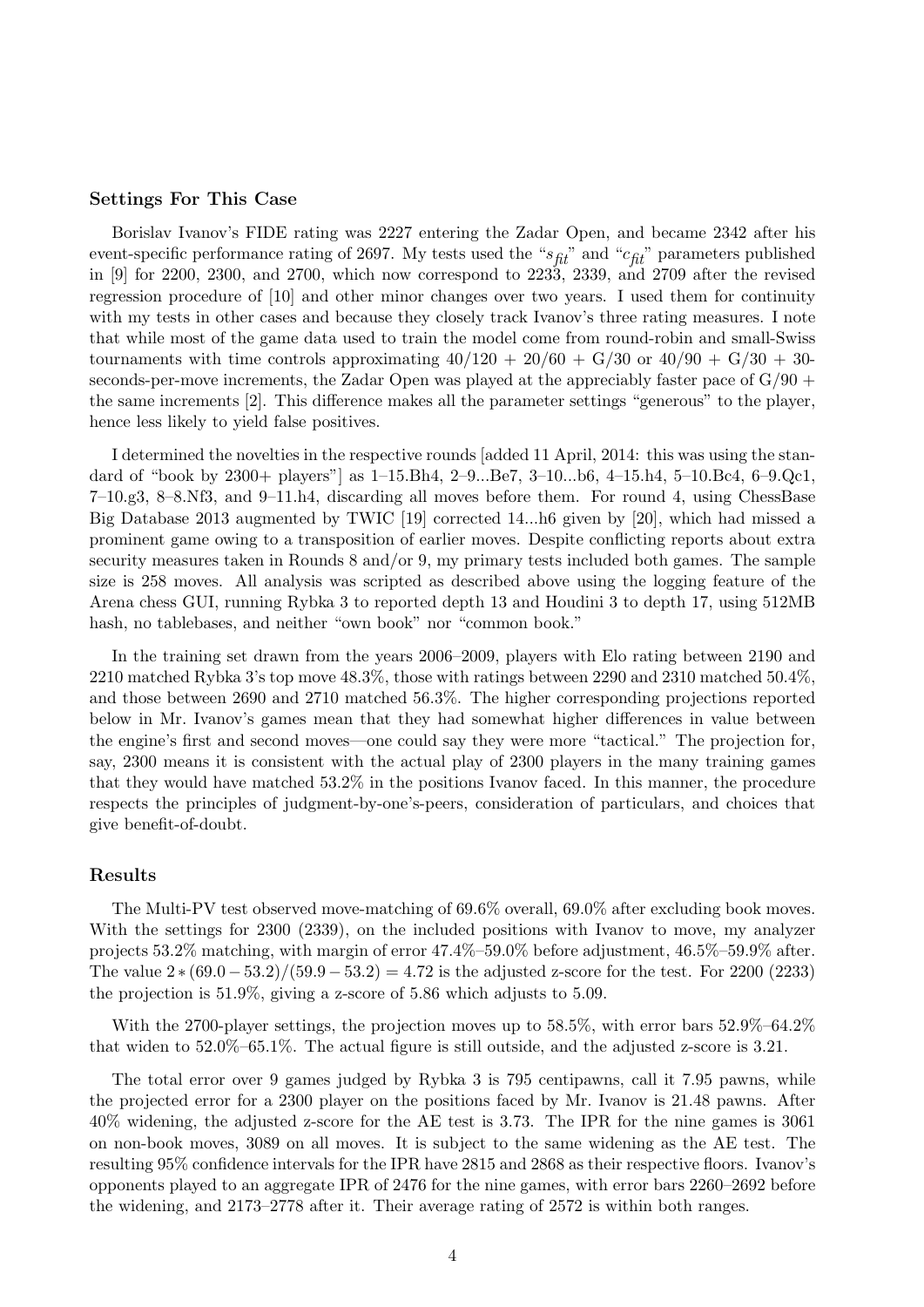#### Settings For This Case

Borislav Ivanov's FIDE rating was 2227 entering the Zadar Open, and became 2342 after his event-specific performance rating of 2697. My tests used the " $s_{\text{fit}}$ " and " $c_{\text{fit}}$ " parameters published in [9] for 2200, 2300, and 2700, which now correspond to 2233, 2339, and 2709 after the revised regression procedure of [10] and other minor changes over two years. I used them for continuity with my tests in other cases and because they closely track Ivanov's three rating measures. I note that while most of the game data used to train the model come from round-robin and small-Swiss tournaments with time controls approximating  $40/120 + 20/60 + G/30$  or  $40/90 + G/30 + 30$ seconds-per-move increments, the Zadar Open was played at the appreciably faster pace of  $G/90 +$ the same increments [2]. This difference makes all the parameter settings "generous" to the player, hence less likely to yield false positives.

I determined the novelties in the respective rounds [added 11 April, 2014: this was using the standard of "book by 2300+ players"] as 1–15.Bh4, 2–9...Be7, 3–10...b6, 4–15.h4, 5–10.Bc4, 6–9.Qc1, 7–10.g3, 8–8.Nf3, and 9–11.h4, discarding all moves before them. For round 4, using ChessBase Big Database 2013 augmented by TWIC [19] corrected 14...h6 given by [20], which had missed a prominent game owing to a transposition of earlier moves. Despite conflicting reports about extra security measures taken in Rounds 8 and/or 9, my primary tests included both games. The sample size is 258 moves. All analysis was scripted as described above using the logging feature of the Arena chess GUI, running Rybka 3 to reported depth 13 and Houdini 3 to depth 17, using 512MB hash, no tablebases, and neither "own book" nor "common book."

In the training set drawn from the years 2006–2009, players with Elo rating between 2190 and 2210 matched Rybka 3's top move 48.3%, those with ratings between 2290 and 2310 matched 50.4%, and those between 2690 and 2710 matched 56.3%. The higher corresponding projections reported below in Mr. Ivanov's games mean that they had somewhat higher differences in value between the engine's first and second moves—one could say they were more "tactical." The projection for, say, 2300 means it is consistent with the actual play of 2300 players in the many training games that they would have matched 53.2% in the positions Ivanov faced. In this manner, the procedure respects the principles of judgment-by-one's-peers, consideration of particulars, and choices that give benefit-of-doubt.

#### Results

The Multi-PV test observed move-matching of 69.6% overall, 69.0% after excluding book moves. With the settings for 2300 (2339), on the included positions with Ivanov to move, my analyzer projects 53.2% matching, with margin of error 47.4%–59.0% before adjustment, 46.5%–59.9% after. The value  $2*(69.0-53.2)/(59.9-53.2) = 4.72$  is the adjusted z-score for the test. For 2200 (2233) the projection is 51.9%, giving a z-score of 5.86 which adjusts to 5.09.

With the 2700-player settings, the projection moves up to 58.5%, with error bars 52.9%–64.2% that widen to 52.0%–65.1%. The actual figure is still outside, and the adjusted z-score is 3.21.

The total error over 9 games judged by Rybka 3 is 795 centipawns, call it 7.95 pawns, while the projected error for a 2300 player on the positions faced by Mr. Ivanov is 21.48 pawns. After 40% widening, the adjusted z-score for the AE test is 3.73. The IPR for the nine games is 3061 on non-book moves, 3089 on all moves. It is subject to the same widening as the AE test. The resulting 95% confidence intervals for the IPR have 2815 and 2868 as their respective floors. Ivanov's opponents played to an aggregate IPR of 2476 for the nine games, with error bars 2260–2692 before the widening, and 2173–2778 after it. Their average rating of 2572 is within both ranges.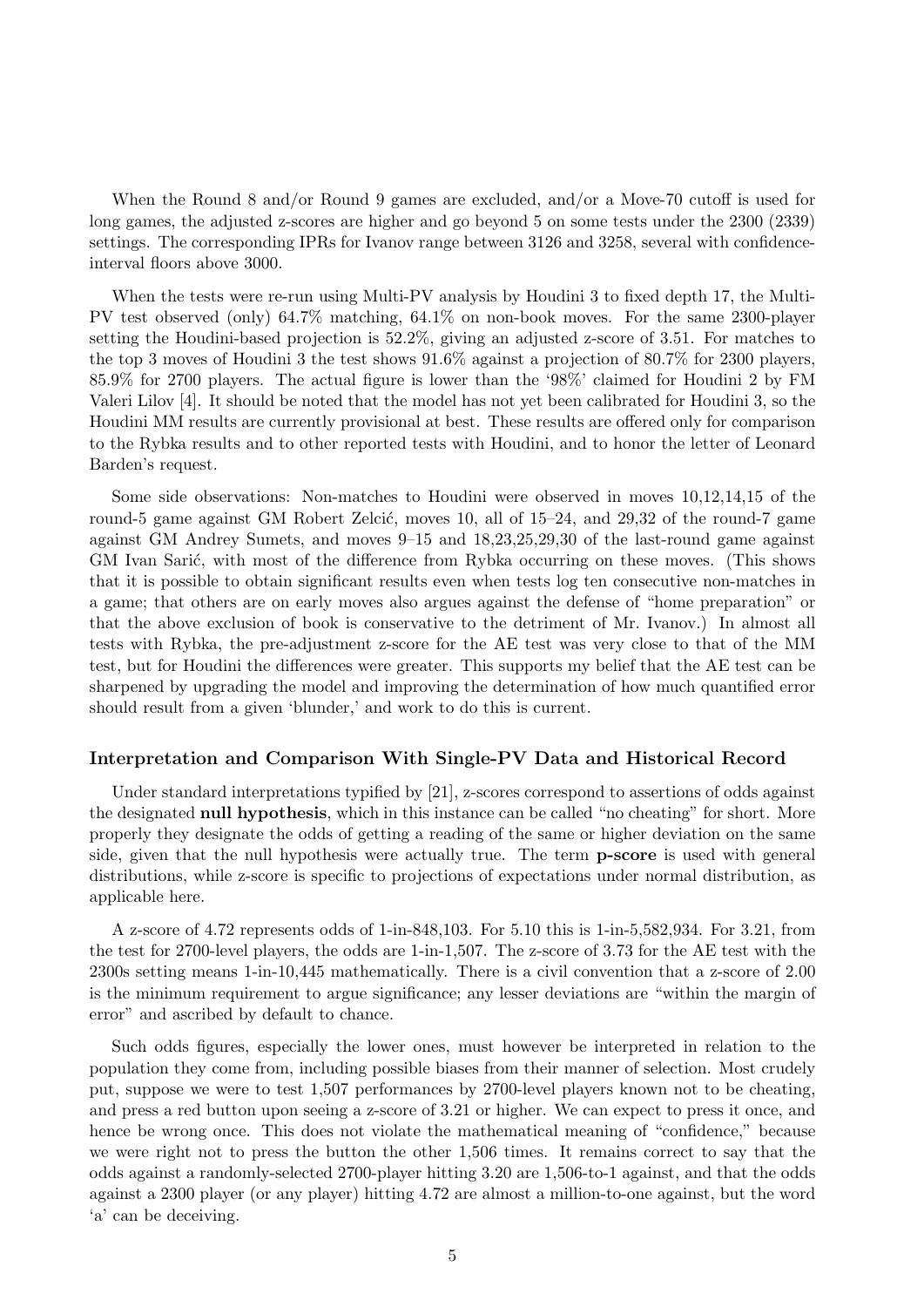When the Round 8 and/or Round 9 games are excluded, and/or a Move-70 cutoff is used for long games, the adjusted z-scores are higher and go beyond 5 on some tests under the 2300 (2339) settings. The corresponding IPRs for Ivanov range between 3126 and 3258, several with confidenceinterval floors above 3000.

When the tests were re-run using Multi-PV analysis by Houdini 3 to fixed depth 17, the Multi-PV test observed (only) 64.7% matching, 64.1% on non-book moves. For the same 2300-player setting the Houdini-based projection is 52.2%, giving an adjusted z-score of 3.51. For matches to the top 3 moves of Houdini 3 the test shows 91.6% against a projection of 80.7% for 2300 players, 85.9% for 2700 players. The actual figure is lower than the '98%' claimed for Houdini 2 by FM Valeri Lilov [4]. It should be noted that the model has not yet been calibrated for Houdini 3, so the Houdini MM results are currently provisional at best. These results are offered only for comparison to the Rybka results and to other reported tests with Houdini, and to honor the letter of Leonard Barden's request.

Some side observations: Non-matches to Houdini were observed in moves 10,12,14,15 of the round-5 game against GM Robert Zelcić, moves 10, all of  $15-24$ , and  $29,32$  of the round-7 game against GM Andrey Sumets, and moves 9–15 and 18,23,25,29,30 of the last-round game against GM Ivan Sarić, with most of the difference from Rybka occurring on these moves. (This shows that it is possible to obtain significant results even when tests log ten consecutive non-matches in a game; that others are on early moves also argues against the defense of "home preparation" or that the above exclusion of book is conservative to the detriment of Mr. Ivanov.) In almost all tests with Rybka, the pre-adjustment z-score for the AE test was very close to that of the MM test, but for Houdini the differences were greater. This supports my belief that the AE test can be sharpened by upgrading the model and improving the determination of how much quantified error should result from a given 'blunder,' and work to do this is current.

## Interpretation and Comparison With Single-PV Data and Historical Record

Under standard interpretations typified by [21], z-scores correspond to assertions of odds against the designated **null hypothesis**, which in this instance can be called "no cheating" for short. More properly they designate the odds of getting a reading of the same or higher deviation on the same side, given that the null hypothesis were actually true. The term **p-score** is used with general distributions, while z-score is specific to projections of expectations under normal distribution, as applicable here.

A z-score of 4.72 represents odds of 1-in-848,103. For 5.10 this is 1-in-5,582,934. For 3.21, from the test for 2700-level players, the odds are 1-in-1,507. The z-score of 3.73 for the AE test with the 2300s setting means 1-in-10,445 mathematically. There is a civil convention that a z-score of 2.00 is the minimum requirement to argue significance; any lesser deviations are "within the margin of error" and ascribed by default to chance.

Such odds figures, especially the lower ones, must however be interpreted in relation to the population they come from, including possible biases from their manner of selection. Most crudely put, suppose we were to test 1,507 performances by 2700-level players known not to be cheating, and press a red button upon seeing a z-score of 3.21 or higher. We can expect to press it once, and hence be wrong once. This does not violate the mathematical meaning of "confidence," because we were right not to press the button the other 1,506 times. It remains correct to say that the odds against a randomly-selected 2700-player hitting 3.20 are 1,506-to-1 against, and that the odds against a 2300 player (or any player) hitting 4.72 are almost a million-to-one against, but the word 'a' can be deceiving.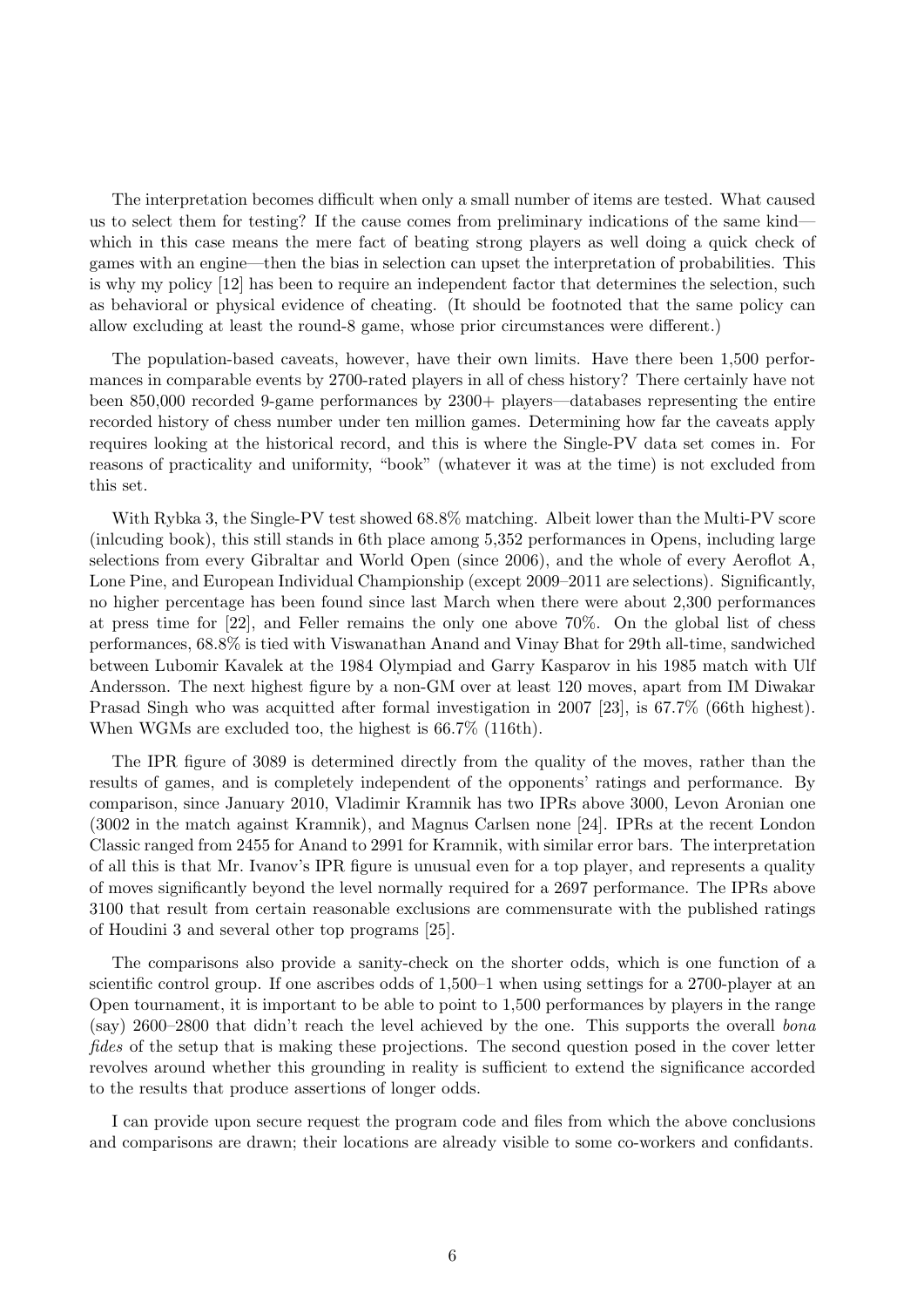The interpretation becomes difficult when only a small number of items are tested. What caused us to select them for testing? If the cause comes from preliminary indications of the same kind which in this case means the mere fact of beating strong players as well doing a quick check of games with an engine—then the bias in selection can upset the interpretation of probabilities. This is why my policy [12] has been to require an independent factor that determines the selection, such as behavioral or physical evidence of cheating. (It should be footnoted that the same policy can allow excluding at least the round-8 game, whose prior circumstances were different.)

The population-based caveats, however, have their own limits. Have there been 1,500 performances in comparable events by 2700-rated players in all of chess history? There certainly have not been 850,000 recorded 9-game performances by 2300+ players—databases representing the entire recorded history of chess number under ten million games. Determining how far the caveats apply requires looking at the historical record, and this is where the Single-PV data set comes in. For reasons of practicality and uniformity, "book" (whatever it was at the time) is not excluded from this set.

With Rybka 3, the Single-PV test showed 68.8% matching. Albeit lower than the Multi-PV score (inlcuding book), this still stands in 6th place among 5,352 performances in Opens, including large selections from every Gibraltar and World Open (since 2006), and the whole of every Aeroflot A, Lone Pine, and European Individual Championship (except 2009–2011 are selections). Significantly, no higher percentage has been found since last March when there were about 2,300 performances at press time for [22], and Feller remains the only one above 70%. On the global list of chess performances, 68.8% is tied with Viswanathan Anand and Vinay Bhat for 29th all-time, sandwiched between Lubomir Kavalek at the 1984 Olympiad and Garry Kasparov in his 1985 match with Ulf Andersson. The next highest figure by a non-GM over at least 120 moves, apart from IM Diwakar Prasad Singh who was acquitted after formal investigation in 2007 [23], is 67.7% (66th highest). When WGMs are excluded too, the highest is  $66.7\%$  (116th).

The IPR figure of 3089 is determined directly from the quality of the moves, rather than the results of games, and is completely independent of the opponents' ratings and performance. By comparison, since January 2010, Vladimir Kramnik has two IPRs above 3000, Levon Aronian one (3002 in the match against Kramnik), and Magnus Carlsen none [24]. IPRs at the recent London Classic ranged from 2455 for Anand to 2991 for Kramnik, with similar error bars. The interpretation of all this is that Mr. Ivanov's IPR figure is unusual even for a top player, and represents a quality of moves significantly beyond the level normally required for a 2697 performance. The IPRs above 3100 that result from certain reasonable exclusions are commensurate with the published ratings of Houdini 3 and several other top programs [25].

The comparisons also provide a sanity-check on the shorter odds, which is one function of a scientific control group. If one ascribes odds of 1,500–1 when using settings for a 2700-player at an Open tournament, it is important to be able to point to 1,500 performances by players in the range (say) 2600–2800 that didn't reach the level achieved by the one. This supports the overall bona fides of the setup that is making these projections. The second question posed in the cover letter revolves around whether this grounding in reality is sufficient to extend the significance accorded to the results that produce assertions of longer odds.

I can provide upon secure request the program code and files from which the above conclusions and comparisons are drawn; their locations are already visible to some co-workers and confidants.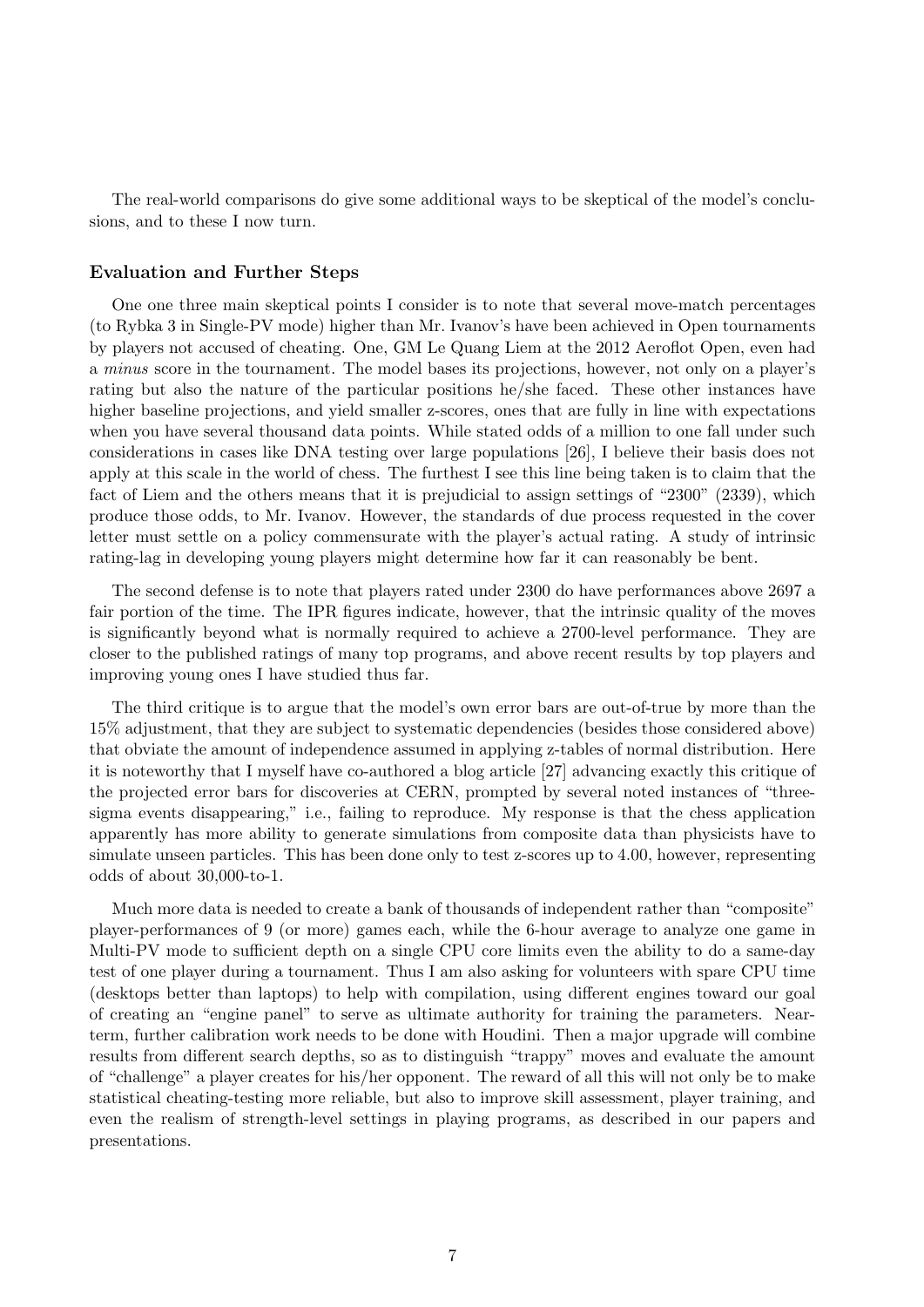The real-world comparisons do give some additional ways to be skeptical of the model's conclusions, and to these I now turn.

### Evaluation and Further Steps

One one three main skeptical points I consider is to note that several move-match percentages (to Rybka 3 in Single-PV mode) higher than Mr. Ivanov's have been achieved in Open tournaments by players not accused of cheating. One, GM Le Quang Liem at the 2012 Aeroflot Open, even had a minus score in the tournament. The model bases its projections, however, not only on a player's rating but also the nature of the particular positions he/she faced. These other instances have higher baseline projections, and yield smaller z-scores, ones that are fully in line with expectations when you have several thousand data points. While stated odds of a million to one fall under such considerations in cases like DNA testing over large populations [26], I believe their basis does not apply at this scale in the world of chess. The furthest I see this line being taken is to claim that the fact of Liem and the others means that it is prejudicial to assign settings of "2300" (2339), which produce those odds, to Mr. Ivanov. However, the standards of due process requested in the cover letter must settle on a policy commensurate with the player's actual rating. A study of intrinsic rating-lag in developing young players might determine how far it can reasonably be bent.

The second defense is to note that players rated under 2300 do have performances above 2697 a fair portion of the time. The IPR figures indicate, however, that the intrinsic quality of the moves is significantly beyond what is normally required to achieve a 2700-level performance. They are closer to the published ratings of many top programs, and above recent results by top players and improving young ones I have studied thus far.

The third critique is to argue that the model's own error bars are out-of-true by more than the 15% adjustment, that they are subject to systematic dependencies (besides those considered above) that obviate the amount of independence assumed in applying z-tables of normal distribution. Here it is noteworthy that I myself have co-authored a blog article [27] advancing exactly this critique of the projected error bars for discoveries at CERN, prompted by several noted instances of "threesigma events disappearing," i.e., failing to reproduce. My response is that the chess application apparently has more ability to generate simulations from composite data than physicists have to simulate unseen particles. This has been done only to test z-scores up to 4.00, however, representing odds of about 30,000-to-1.

Much more data is needed to create a bank of thousands of independent rather than "composite" player-performances of 9 (or more) games each, while the 6-hour average to analyze one game in Multi-PV mode to sufficient depth on a single CPU core limits even the ability to do a same-day test of one player during a tournament. Thus I am also asking for volunteers with spare CPU time (desktops better than laptops) to help with compilation, using different engines toward our goal of creating an "engine panel" to serve as ultimate authority for training the parameters. Nearterm, further calibration work needs to be done with Houdini. Then a major upgrade will combine results from different search depths, so as to distinguish "trappy" moves and evaluate the amount of "challenge" a player creates for his/her opponent. The reward of all this will not only be to make statistical cheating-testing more reliable, but also to improve skill assessment, player training, and even the realism of strength-level settings in playing programs, as described in our papers and presentations.